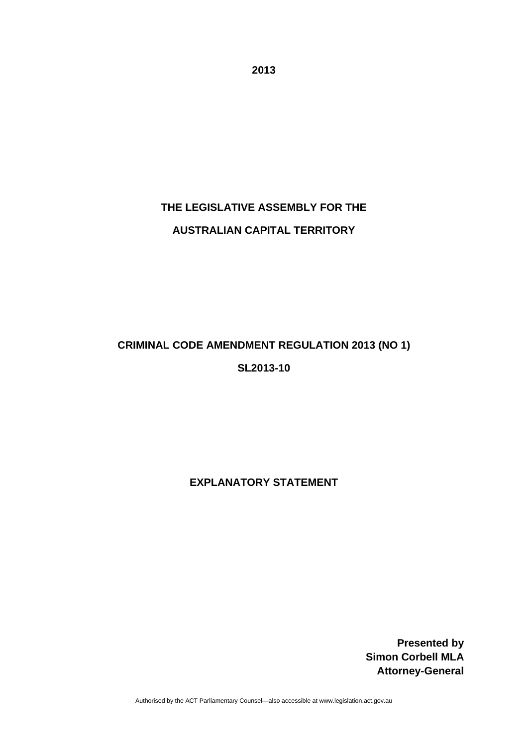**2013** 

# **THE LEGISLATIVE ASSEMBLY FOR THE AUSTRALIAN CAPITAL TERRITORY**

## **CRIMINAL CODE AMENDMENT REGULATION 2013 (NO 1) SL2013-10**

**EXPLANATORY STATEMENT** 

**Presented by Simon Corbell MLA Attorney-General**

Authorised by the ACT Parliamentary Counsel—also accessible at www.legislation.act.gov.au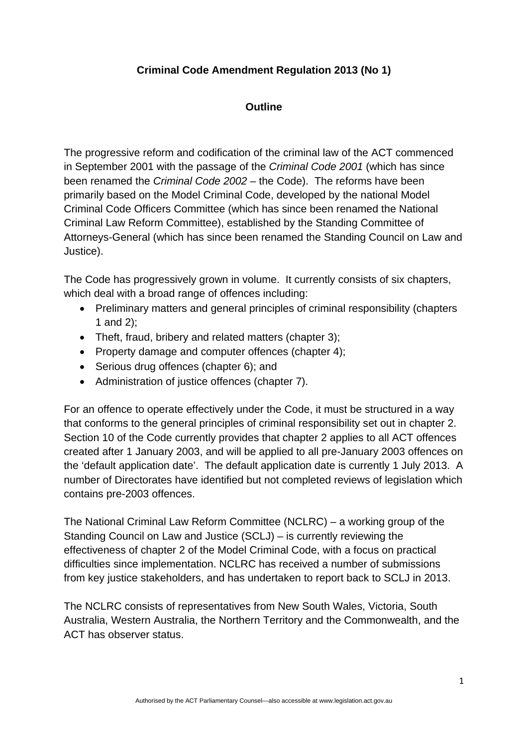## **Criminal Code Amendment Regulation 2013 (No 1)**

### **Outline**

The progressive reform and codification of the criminal law of the ACT commenced in September 2001 with the passage of the *Criminal Code 2001* (which has since been renamed the *Criminal Code 2002 –* the Code). The reforms have been primarily based on the Model Criminal Code, developed by the national Model Criminal Code Officers Committee (which has since been renamed the National Criminal Law Reform Committee), established by the Standing Committee of Attorneys-General (which has since been renamed the Standing Council on Law and Justice).

The Code has progressively grown in volume. It currently consists of six chapters, which deal with a broad range of offences including:

- Preliminary matters and general principles of criminal responsibility (chapters 1 and 2);
- Theft, fraud, bribery and related matters (chapter 3);
- Property damage and computer offences (chapter 4);
- Serious drug offences (chapter 6): and
- Administration of justice offences (chapter 7).

For an offence to operate effectively under the Code, it must be structured in a way that conforms to the general principles of criminal responsibility set out in chapter 2. Section 10 of the Code currently provides that chapter 2 applies to all ACT offences created after 1 January 2003, and will be applied to all pre-January 2003 offences on the 'default application date'. The default application date is currently 1 July 2013. A number of Directorates have identified but not completed reviews of legislation which contains pre-2003 offences.

The National Criminal Law Reform Committee (NCLRC) – a working group of the Standing Council on Law and Justice (SCLJ) – is currently reviewing the effectiveness of chapter 2 of the Model Criminal Code, with a focus on practical difficulties since implementation. NCLRC has received a number of submissions from key justice stakeholders, and has undertaken to report back to SCLJ in 2013.

The NCLRC consists of representatives from New South Wales, Victoria, South Australia, Western Australia, the Northern Territory and the Commonwealth, and the ACT has observer status.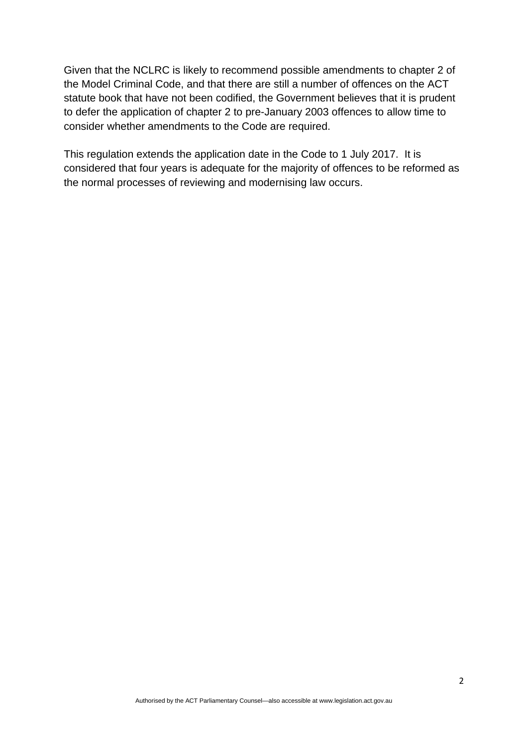Given that the NCLRC is likely to recommend possible amendments to chapter 2 of the Model Criminal Code, and that there are still a number of offences on the ACT statute book that have not been codified, the Government believes that it is prudent to defer the application of chapter 2 to pre-January 2003 offences to allow time to consider whether amendments to the Code are required.

This regulation extends the application date in the Code to 1 July 2017. It is considered that four years is adequate for the majority of offences to be reformed as the normal processes of reviewing and modernising law occurs.